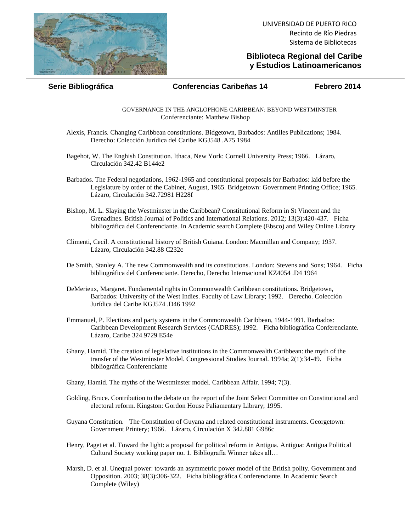

UNIVERSIDAD DE PUERTO RICO Recinto de Río Piedras Sistema de Bibliotecas

## **Biblioteca Regional del Caribe y Estudios Latinoamericanos**

## **Serie Bibliográfica Conferencias Caribeñas 14 Febrero 2014**

GOVERNANCE IN THE ANGLOPHONE CARIBBEAN: BEYOND WESTMINSTER Conferenciante: Matthew Bishop

Alexis, Francis. Changing Caribbean constitutions. Bidgetown, Barbados: Antilles Publications; 1984. Derecho: Colección Jurídica del Caribe KGJ548 .A75 1984

Bagehot, W. The Enghish Constitution. Ithaca, New York: Cornell University Press; 1966. Lázaro, Circulación 342.42 B144e2

- Barbados. The Federal negotiations, 1962-1965 and constitutional proposals for Barbados: laid before the Legislature by order of the Cabinet, August, 1965. Bridgetown: Government Printing Office; 1965. Lázaro, Circulación 342.72981 H228f
- Bishop, M. L. Slaying the Westminster in the Caribbean? Constitutional Reform in St Vincent and the Grenadines. British Journal of Politics and International Relations. 2012; 13(3):420-437. Ficha bibliográfica del Conferenciante. In Academic search Complete (Ebsco) and Wiley Online Library
- Climenti, Cecil. A constitutional history of British Guiana. London: Macmillan and Company; 1937. Lázaro, Circulación 342.88 C232c
- De Smith, Stanley A. The new Commonwealth and its constitutions. London: Stevens and Sons; 1964. Ficha bibliográfica del Conferenciante. Derecho, Derecho Internacional KZ4054 .D4 1964
- DeMerieux, Margaret. Fundamental rights in Commonwealth Caribbean constitutions. Bridgetown, Barbados: University of the West Indies. Faculty of Law Library; 1992. Derecho. Colección Jurídica del Caribe KGJ574 .D46 1992
- Emmanuel, P. Elections and party systems in the Commonwealth Caribbean, 1944-1991. Barbados: Caribbean Development Research Services (CADRES); 1992. Ficha bibliográfica Conferenciante. Lázaro, Caribe 324.9729 E54e
- Ghany, Hamid. The creation of legislative institutions in the Commonwealth Caribbean: the myth of the transfer of the Westminster Model. Congressional Studies Journal. 1994a; 2(1):34-49. Ficha bibliográfica Conferenciante
- Ghany, Hamid. The myths of the Westminster model. Caribbean Affair. 1994; 7(3).
- Golding, Bruce. Contribution to the debate on the report of the Joint Select Committee on Constitutional and electoral reform. Kingston: Gordon House Paliamentary Library; 1995.
- Guyana Constitution. The Constitution of Guyana and related constitutional instruments. Georgetown: Government Printery; 1966. Lázaro, Circulación X 342.881 G986c
- Henry, Paget et al. Toward the light: a proposal for political reform in Antigua. Antigua: Antigua Political Cultural Society working paper no. 1. Bibliografía Winner takes all…
- Marsh, D. et al. Unequal power: towards an asymmetric power model of the British polity. Government and Opposition. 2003; 38(3):306-322. Ficha bibliográfica Conferenciante. In Academic Search Complete (Wiley)